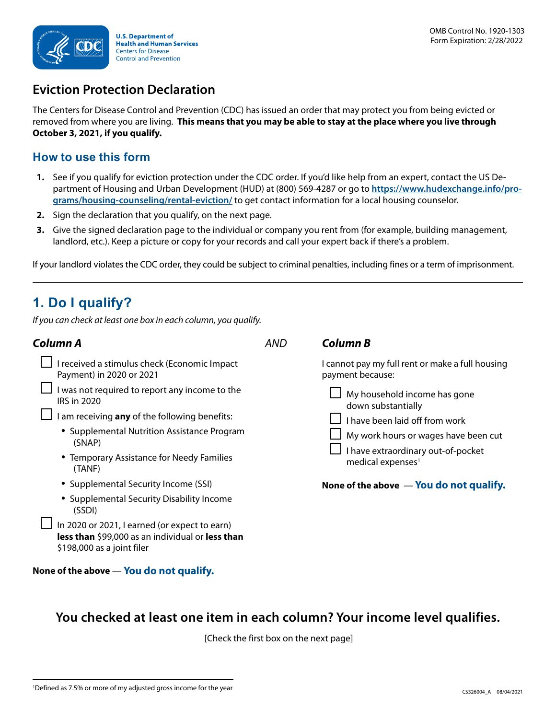

## **Eviction Protection Declaration**

The Centers for Disease Control and Prevention (CDC) has issued an order that may protect you from being evicted or removed from where you are living. **This means that you may be able to stay at the place where you live through October 3, 2021, if you qualify.** 

#### **How to use this form**

- **1.** See if you qualify for eviction protection under the CDC order. If you'd like help from an expert, contact the US Department of Housing and Urban Development (HUD) at (800) 569-4287 or go to **[https://www.hudexchange.info/pro](https://www.hudexchange.info/programs/housing-counseling/rental-eviction/)[grams/housing-counseling/rental-eviction/](https://www.hudexchange.info/programs/housing-counseling/rental-eviction/)** to get contact information for a local housing counselor.
- **2.** Sign the declaration that you qualify, on the next page.
- **3.** Give the signed declaration page to the individual or company you rent from (for example, building management, landlord, etc.). Keep a picture or copy for your records and call your expert back if there's a problem.

If your landlord violates the CDC order, they could be subject to criminal penalties, including fines or a term of imprisonment.

# **1. Do I qualify?**

*If you can check at least one box in each column, you qualify.*

| Column A                                                                                                                                                                                                                              | <b>AND</b> | <b>Column B</b>                                                                                                                                                                                                                                                             |
|---------------------------------------------------------------------------------------------------------------------------------------------------------------------------------------------------------------------------------------|------------|-----------------------------------------------------------------------------------------------------------------------------------------------------------------------------------------------------------------------------------------------------------------------------|
| I received a stimulus check (Economic Impact<br>Payment) in 2020 or 2021                                                                                                                                                              |            | I cannot pay my full rent or make a full housing<br>payment because:<br>My household income has gone<br>down substantially<br>I have been laid off from work<br>My work hours or wages have been cut<br>I have extraordinary out-of-pocket<br>medical expenses <sup>1</sup> |
| I was not required to report any income to the<br><b>IRS in 2020</b><br>I am receiving any of the following benefits:<br>• Supplemental Nutrition Assistance Program<br>(SNAP)<br>• Temporary Assistance for Needy Families<br>(TANF) |            |                                                                                                                                                                                                                                                                             |
| • Supplemental Security Income (SSI)<br>• Supplemental Security Disability Income<br>(SSDI)<br>In 2020 or 2021, I earned (or expect to earn)<br>less than \$99,000 as an individual or less than<br>\$198,000 as a joint filer        |            | None of the above - You do not qualify.                                                                                                                                                                                                                                     |
| None of the above — You do not qualify.                                                                                                                                                                                               |            |                                                                                                                                                                                                                                                                             |

### **You checked at least one item in each column? Your income level qualifies.**

[Check the first box on the next page]